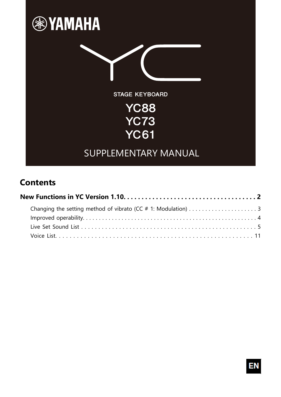

## **Contents**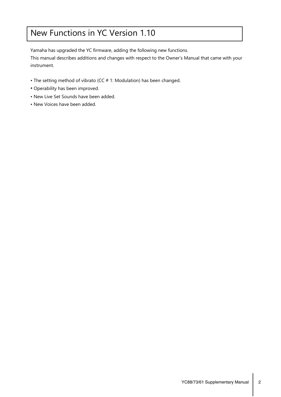# New Functions in YC Version 1.10

Yamaha has upgraded the YC firmware, adding the following new functions.

This manual describes additions and changes with respect to the Owner's Manual that came with your instrument.

- The setting method of vibrato (CC # 1: Modulation) has been changed.
- Operability has been improved.
- New Live Set Sounds have been added.
- New Voices have been added.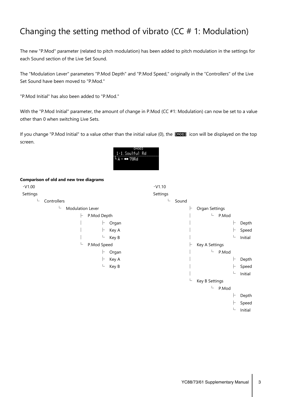# Changing the setting method of vibrato ( $CC # 1$ : Modulation)

The new "P.Mod" parameter (related to pitch modulation) has been added to pitch modulation in the settings for each Sound section of the Live Set Sound.

The "Modulation Lever" parameters "P.Mod Depth" and "P.Mod Speed," originally in the "Controllers" of the Live Set Sound have been moved to "P.Mod."

"P.Mod Initial" has also been added to "P.Mod."

With the "P.Mod Initial" parameter, the amount of change in P.Mod (CC #1: Modulation) can now be set to a value other than 0 when switching Live Sets.

If you change "P.Mod Initial" to a value other than the initial value (0), the large icon will be displayed on the top screen.



#### **Comparison of old and new tree diagrams**

| $\cdot$ V1.00 |                       |             |       | $\cdot$ V1.10 |       |                 |   |         |
|---------------|-----------------------|-------------|-------|---------------|-------|-----------------|---|---------|
| Settings      |                       |             |       | Settings      |       |                 |   |         |
| L             | Controllers           |             |       | ∟             | Sound |                 |   |         |
|               | L<br>Modulation Lever |             |       |               | ⊢     | Organ Settings  |   |         |
|               | ⊢                     | P.Mod Depth |       |               |       | L.<br>P.Mod     |   |         |
|               |                       | ⊢           | Organ |               |       |                 | ⊢ | Depth   |
|               |                       | H           | Key A |               |       |                 | ⊢ | Speed   |
|               |                       | ட           | Key B |               |       |                 | L | Initial |
|               | ட                     | P.Mod Speed |       |               |       | Key A Settings  |   |         |
|               |                       | ⊢           | Organ |               |       | $\Box$<br>P.Mod |   |         |
|               |                       | ⊢           | Key A |               |       |                 |   | Depth   |
|               |                       | L           | Key B |               |       |                 | ⊢ | Speed   |
|               |                       |             |       |               |       |                 | L | Initial |
|               |                       |             |       |               | L     | Key B Settings  |   |         |
|               |                       |             |       |               |       | L<br>P.Mod      |   |         |
|               |                       |             |       |               |       |                 |   | Depth   |
|               |                       |             |       |               |       |                 |   | Speed   |
|               |                       |             |       |               |       |                 | L | Initial |
|               |                       |             |       |               |       |                 |   |         |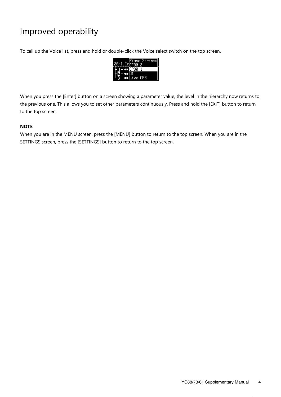# Improved operability

To call up the Voice list, press and hold or double-click the Voice select switch on the top screen.



When you press the [Enter] button on a screen showing a parameter value, the level in the hierarchy now returns to the previous one. This allows you to set other parameters continuously. Press and hold the [EXIT] button to return to the top screen.

### **NOTE**

When you are in the MENU screen, press the [MENU] button to return to the top screen. When you are in the SETTINGS screen, press the [SETTINGS] button to return to the top screen.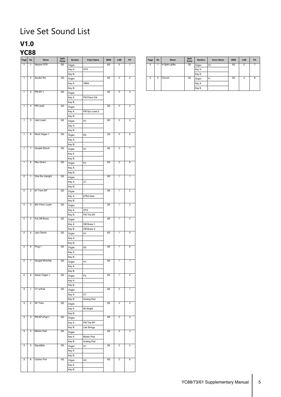# Live Set Sound List

### **V1.0**

### **YC88**

| Page                | $\mathsf{No}$            | Name              | <b>Split</b><br>Point | Section | <b>Voice Name</b> | MSB | LSB                     | ${\sf PC}$              |
|---------------------|--------------------------|-------------------|-----------------------|---------|-------------------|-----|-------------------------|-------------------------|
| $\overline{1}$      | $\mathbf{1}$             | Natural CFX       | G2                    | Organ   |                   | 63  | $\overline{0}$          | $\mathbf{1}$            |
|                     |                          |                   |                       | Key A   | <b>CFX</b>        |     |                         |                         |
|                     |                          |                   |                       | Key B   |                   |     |                         |                         |
| $\overline{1}$      |                          | 2 Soulful Rd      | G <sub>2</sub>        | Organ   |                   | 63  | $\mathbf 0$             | $\overline{2}$          |
|                     |                          |                   |                       | Key A   | 78Rd              |     |                         |                         |
|                     |                          |                   |                       | Key B   |                   |     |                         |                         |
| $\overline{1}$      |                          | 3 FM EP 1         | G2                    | Organ   |                   | 63  | $\mathbf 0$             | $\overline{3}$          |
|                     |                          |                   |                       |         | FM Piano DA       |     |                         |                         |
|                     |                          |                   |                       | Key A   |                   |     |                         |                         |
|                     |                          |                   |                       | Key B   |                   |     |                         |                         |
| $\overline{1}$      |                          | 4 FM Lead         | G2                    | Organ   |                   | 63  | $\overline{0}$          | $\overline{4}$          |
|                     |                          |                   |                       | Key A   | FM Syn Lead 2     |     |                         |                         |
|                     |                          |                   |                       | Key B   |                   |     |                         |                         |
| $\mathbf{1}$        | $5\phantom{.0}$          | Jazz Lead         | G2                    | Organ   | H1                | 63  | $\overline{0}$          | $\overline{5}$          |
|                     |                          |                   |                       | Key A   |                   |     |                         |                         |
|                     |                          |                   |                       | Key B   |                   |     |                         |                         |
| $\overline{1}$      |                          | 6 Rock Organ 1    | G2                    |         |                   | 63  | $\overline{0}$          | $6\overline{6}$         |
|                     |                          |                   |                       | Organ   | H2                |     |                         |                         |
|                     |                          |                   |                       | Key A   |                   |     |                         |                         |
|                     |                          |                   |                       | Key B   |                   |     |                         |                         |
| $\mathbf{1}$        | $\overline{7}$           | Gospel Shout!     | G2                    | Organ   | H1                | 63  | $\overline{\mathbf{0}}$ | $\overline{7}$          |
|                     |                          |                   |                       | Key A   |                   |     |                         |                         |
|                     |                          |                   |                       | Key B   |                   |     |                         |                         |
| $\overline{1}$      | $\overline{\mathbf{8}}$  | <b>Rex Direct</b> | G2                    | Organ   | F <sub>2</sub>    | 63  | $\pmb{0}$               | $\overline{\mathbf{8}}$ |
|                     |                          |                   |                       | Key A   |                   |     |                         |                         |
|                     |                          |                   |                       |         |                   |     |                         |                         |
| $\overline{2}$      | $\mathbf{1}$             | One Ear Upright   | G2                    | Key B   |                   | 63  | $\mathbf{1}$            | $\mathbf{1}$            |
|                     |                          |                   |                       | Organ   |                   |     |                         |                         |
|                     |                          |                   |                       | Key A   | U1                |     |                         |                         |
|                     |                          |                   |                       | Key B   |                   |     |                         |                         |
| $\overline{2}$      |                          | 2 67 Trem EP      | G2                    | Organ   |                   | 63  | $\mathbf{1}$            | $\overline{2}$          |
|                     |                          |                   |                       | Key A   | 67Rd Dark         |     |                         |                         |
|                     |                          |                   |                       | Key B   |                   |     |                         |                         |
| $\overline{2}$      |                          | 3 80s Piano Layer | G2                    | Organ   |                   | 63  | $\mathbf{1}$            | $\overline{3}$          |
|                     |                          |                   |                       | Key A   | <b>CFX</b>        |     |                         |                         |
|                     |                          |                   |                       | Key B   | FM The EP         |     |                         |                         |
| $\overline{2}$      |                          | 4 Fat OB Brass    | G2                    | Organ   |                   | 63  | $\mathbf{1}$            | $\overline{4}$          |
|                     |                          |                   |                       |         |                   |     |                         |                         |
|                     |                          |                   |                       | Key A   | OB Brass 1        |     |                         |                         |
|                     |                          |                   |                       | Key B   | OB Brass 2        |     |                         |                         |
| $\overline{2}$      |                          | 5 Jazz Swish      | G <sub>2</sub>        | Organ   | H1                | 63  | $\mathbf{1}$            | 5                       |
|                     |                          |                   |                       | Key A   |                   |     |                         |                         |
|                     |                          |                   |                       | Key B   |                   |     |                         |                         |
| $\overline{2}$      |                          | 6 Prog 1          | G2                    | Organ   | H2                | 63  | $\mathbf{1}$            | $6\overline{6}$         |
|                     |                          |                   |                       | Key A   |                   |     |                         |                         |
|                     |                          |                   |                       |         |                   |     |                         |                         |
| $\overline{2}$      |                          | 7 Gospel Worship  | G2                    | Key B   |                   | 63  | $\mathbf{1}$            | $\overline{7}$          |
|                     |                          |                   |                       | Organ   | H1                |     |                         |                         |
|                     |                          |                   |                       | Key A   |                   |     |                         |                         |
| $\overline{2}$      |                          | 8 Italian Organ 1 | G2                    | Key B   |                   | 63  | $\overline{1}$          | $\overline{\mathbf{8}}$ |
|                     |                          |                   |                       | Organ   | F3                |     |                         |                         |
|                     |                          |                   |                       | Key A   |                   |     |                         |                         |
|                     |                          |                   |                       | Key B   |                   |     |                         |                         |
| $\overline{\omega}$ |                          | 1 C7 w/Pad        | G2                    | Organ   |                   | 63  | $\overline{2}$          | $\overline{1}$          |
|                     |                          |                   |                       | Key A   | C7                |     |                         |                         |
| $\mathbf{3}$        |                          | 2 Wr Trem         | G2                    | Key B   | Analog Pad        | 63  | $\overline{2}$          | $\overline{2}$          |
|                     |                          |                   |                       | Organ   |                   |     |                         |                         |
|                     |                          |                   |                       | Key A   | Wr Bright         |     |                         |                         |
|                     |                          |                   |                       | Key B   |                   |     |                         |                         |
| $\overline{3}$      | $\overline{3}$           | FM EP+Pad 1       | G2                    | Organ   |                   | 63  | $\overline{2}$          | $\overline{3}$          |
|                     |                          |                   |                       | Key A   | FM The EP         |     |                         |                         |
|                     |                          |                   |                       | Key B   | Lite Strings      |     |                         |                         |
| $\mathbf{3}$        | $\overline{4}$           | Motion Pad        | G2                    |         |                   | 63  | $\overline{2}$          | $\overline{4}$          |
|                     |                          |                   |                       | Organ   |                   |     |                         |                         |
|                     |                          |                   |                       | Key A   | Mystic Pad        |     |                         |                         |
|                     |                          |                   |                       | Key B   | Analog Pad        |     |                         |                         |
| $\mathbf{3}$        | $\overline{\phantom{a}}$ | Squabble          | G2                    | Organ   | H1                | 63  | $\overline{2}$          | $\overline{5}$          |
|                     |                          |                   |                       | Key A   |                   |     |                         |                         |
|                     |                          |                   |                       | Key B   |                   |     |                         |                         |
| 3                   | $6\overline{6}$          | Casino Fire       | G2                    | Organ   | H2                | 63  | $\overline{2}$          | 6                       |
|                     |                          |                   |                       | Key A   |                   |     |                         |                         |
|                     |                          |                   |                       | Key B   |                   |     |                         |                         |
|                     |                          |                   |                       |         |                   |     |                         |                         |

| Page | <b>No</b> | Name          | <b>Split</b><br>Point | <b>Section</b> | <b>Voice Name</b> | <b>MSB</b> | <b>LSB</b>     | <b>PC</b> |
|------|-----------|---------------|-----------------------|----------------|-------------------|------------|----------------|-----------|
| 3    | 7         | H Split Ld/Ba | G2                    | Organ          | H1                | 63         | $\overline{2}$ |           |
|      |           |               |                       | Key A          |                   |            |                |           |
|      |           |               |                       | Key B          |                   |            |                |           |
| 3    | 8         | Church        | G <sub>2</sub>        | Organ          | F <sub>1</sub>    | 63         | $\mathfrak{p}$ | 8         |
|      |           |               |                       | Key A          |                   |            |                |           |
|      |           |               |                       | Key B          |                   |            |                |           |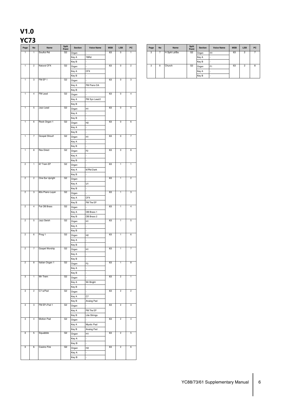# **V1.0**

### **YC73**

| Page           | $\mathsf{No}$           | Name              | Split<br>Point | Section | <b>Voice Name</b> | MSB | LSB                     | ${\sf PC}$              | Page         | $\mathsf{No}$           | Name          | Split<br>Point | Section | <b>Voice Name</b> | MSB | ${\sf LSB}$    | P |
|----------------|-------------------------|-------------------|----------------|---------|-------------------|-----|-------------------------|-------------------------|--------------|-------------------------|---------------|----------------|---------|-------------------|-----|----------------|---|
| 1              | $\mathbf{1}$            | Soulful Rd        | G2             | Organ   |                   | 63  | $\pmb{0}$               | $\mathbf{1}$            | 3            | 7                       | H Split Ld/Ba | G <sub>2</sub> | Organ   | H1                | 63  | $\overline{2}$ | ī |
|                |                         |                   |                | Key A   | 78Rd              |     |                         |                         |              |                         |               |                | Key A   |                   |     |                |   |
|                |                         |                   |                | Key B   |                   |     |                         |                         |              |                         |               |                | Key B   |                   |     |                |   |
| $\mathbf{1}$   | $\overline{2}$          | Natural CFX       | G2             | Organ   |                   | 63  | $\overline{0}$          | $\overline{2}$          | $\mathbf{3}$ | $\overline{\mathbf{8}}$ | Church        | G <sub>2</sub> | Organ   | F1                | 63  | $\overline{2}$ | ृ |
|                |                         |                   |                | Key A   | <b>CFX</b>        |     |                         |                         |              |                         |               |                | Key A   |                   |     |                |   |
|                |                         |                   |                |         |                   |     |                         |                         |              |                         |               |                |         |                   |     |                |   |
| $\mathbf{1}$   | $\overline{3}$          | FM EP 1           | G <sub>2</sub> | Key B   |                   | 63  | $\overline{0}$          | $\overline{3}$          |              |                         |               |                | Key B   |                   |     |                |   |
|                |                         |                   |                | Organ   |                   |     |                         |                         |              |                         |               |                |         |                   |     |                |   |
|                |                         |                   |                | Key A   | FM Piano DA       |     |                         |                         |              |                         |               |                |         |                   |     |                |   |
|                |                         |                   |                | Key B   |                   |     |                         |                         |              |                         |               |                |         |                   |     |                |   |
| $\mathbf{1}$   | $\overline{4}$          | FM Lead           | G2             | Organ   |                   | 63  | $\overline{\mathbf{0}}$ | $\overline{4}$          |              |                         |               |                |         |                   |     |                |   |
|                |                         |                   |                | Key A   | FM Syn Lead2      |     |                         |                         |              |                         |               |                |         |                   |     |                |   |
|                |                         |                   |                | Key B   |                   |     |                         |                         |              |                         |               |                |         |                   |     |                |   |
| $\mathbf{1}$   | $\overline{5}$          | Jazz Lead         | G2             | Organ   | H <sub>1</sub>    | 63  | $\overline{0}$          | $\overline{5}$          |              |                         |               |                |         |                   |     |                |   |
|                |                         |                   |                | Key A   |                   |     |                         |                         |              |                         |               |                |         |                   |     |                |   |
|                |                         |                   |                | Key B   |                   |     |                         |                         |              |                         |               |                |         |                   |     |                |   |
| $\mathbf{1}$   | $6\overline{6}$         | Rock Organ 1      | G2             | Organ   | H2                | 63  | $\overline{\mathbf{0}}$ | $6\overline{6}$         |              |                         |               |                |         |                   |     |                |   |
|                |                         |                   |                | Key A   |                   |     |                         |                         |              |                         |               |                |         |                   |     |                |   |
|                |                         |                   |                | Key B   |                   |     |                         |                         |              |                         |               |                |         |                   |     |                |   |
| $\mathbf{1}$   | $\overline{7}$          | Gospel Shout!     | G2             | Organ   | H <sub>1</sub>    | 63  | $\overline{\mathbf{0}}$ | $\overline{7}$          |              |                         |               |                |         |                   |     |                |   |
|                |                         |                   |                |         |                   |     |                         |                         |              |                         |               |                |         |                   |     |                |   |
|                |                         |                   |                | Key A   |                   |     |                         |                         |              |                         |               |                |         |                   |     |                |   |
| $\mathbf{1}$   | $\overline{\mathbf{8}}$ | <b>Rex Direct</b> | G2             | Key B   |                   | 63  | $\overline{\mathbf{0}}$ | $\overline{\mathbf{8}}$ |              |                         |               |                |         |                   |     |                |   |
|                |                         |                   |                | Organ   | F <sub>2</sub>    |     |                         |                         |              |                         |               |                |         |                   |     |                |   |
|                |                         |                   |                | Key A   |                   |     |                         |                         |              |                         |               |                |         |                   |     |                |   |
|                |                         |                   |                | Key B   |                   |     |                         |                         |              |                         |               |                |         |                   |     |                |   |
| $\overline{2}$ | $\mathbf{1}$            | 67 Trem EP        | G2             | Organ   |                   | 63  | $\overline{1}$          | $\overline{1}$          |              |                         |               |                |         |                   |     |                |   |
|                |                         |                   |                | Key A   | 67Rd Dark         |     |                         |                         |              |                         |               |                |         |                   |     |                |   |
|                |                         |                   |                | Key B   |                   |     |                         |                         |              |                         |               |                |         |                   |     |                |   |
| $\overline{2}$ | $\overline{c}$          | One Ear Upright   | G2             | Organ   |                   | 63  | $\mathbf{1}$            | $\overline{2}$          |              |                         |               |                |         |                   |     |                |   |
|                |                         |                   |                | Key A   | U1                |     |                         |                         |              |                         |               |                |         |                   |     |                |   |
|                |                         |                   |                | Key B   |                   |     |                         |                         |              |                         |               |                |         |                   |     |                |   |
| $\overline{2}$ | $\mathbf{3}$            | 80s Piano Layer   | G2             | Organ   |                   | 63  | $\mathbf{1}$            | $\mathbf{3}$            |              |                         |               |                |         |                   |     |                |   |
|                |                         |                   |                | Key A   | <b>CFX</b>        |     |                         |                         |              |                         |               |                |         |                   |     |                |   |
|                |                         |                   |                | Key B   | FM The EP         |     |                         |                         |              |                         |               |                |         |                   |     |                |   |
| $\overline{2}$ | $\overline{4}$          | Fat OB Brass      | G2             | Organ   |                   | 63  | $\mathbf{1}$            | $\overline{4}$          |              |                         |               |                |         |                   |     |                |   |
|                |                         |                   |                | Key A   | OB Brass 1        |     |                         |                         |              |                         |               |                |         |                   |     |                |   |
|                |                         |                   |                |         | OB Brass 2        |     |                         |                         |              |                         |               |                |         |                   |     |                |   |
| $\overline{2}$ | $5\phantom{.0}$         | Jazz Swish        | G <sub>2</sub> | Key B   | H1                | 63  | $\mathbf{1}$            | $\overline{5}$          |              |                         |               |                |         |                   |     |                |   |
|                |                         |                   |                | Organ   |                   |     |                         |                         |              |                         |               |                |         |                   |     |                |   |
|                |                         |                   |                | Key A   |                   |     |                         |                         |              |                         |               |                |         |                   |     |                |   |
| $\overline{2}$ |                         |                   | G2             | Key B   |                   | 63  | $\mathbf{1}$            |                         |              |                         |               |                |         |                   |     |                |   |
|                | $6\phantom{.0}$         | Prog 1            |                | Organ   | H2                |     |                         | $6\overline{6}$         |              |                         |               |                |         |                   |     |                |   |
|                |                         |                   |                | Key A   |                   |     |                         |                         |              |                         |               |                |         |                   |     |                |   |
|                |                         |                   |                | Key B   |                   |     |                         |                         |              |                         |               |                |         |                   |     |                |   |
| $\overline{2}$ | $\overline{7}$          | Gospel Worship    | G2             | Organ   | H <sub>1</sub>    | 63  | $\mathbf{1}$            | $\overline{7}$          |              |                         |               |                |         |                   |     |                |   |
|                |                         |                   |                | Key A   |                   |     |                         |                         |              |                         |               |                |         |                   |     |                |   |
|                |                         |                   |                | Key B   |                   |     |                         |                         |              |                         |               |                |         |                   |     |                |   |
| $\overline{2}$ | 8                       | Italian Organ 1   | G2             | Organ   | F <sub>3</sub>    | 63  | $\overline{1}$          | $\overline{\mathbf{8}}$ |              |                         |               |                |         |                   |     |                |   |
|                |                         |                   |                | Key A   |                   |     |                         |                         |              |                         |               |                |         |                   |     |                |   |
|                |                         |                   |                | Key B   |                   |     |                         |                         |              |                         |               |                |         |                   |     |                |   |
| $\overline{3}$ | $\mathbf{1}$            | Wr Trem           | G2             | Organ   |                   | 63  | $\overline{2}$          | $\overline{1}$          |              |                         |               |                |         |                   |     |                |   |
|                |                         |                   |                | Key A   | Wr Bright         |     |                         |                         |              |                         |               |                |         |                   |     |                |   |
|                |                         |                   |                | Key B   |                   |     |                         |                         |              |                         |               |                |         |                   |     |                |   |
| $\overline{3}$ | $\overline{2}$          | C7 w/Pad          | G2             | Organ   |                   | 63  | $\overline{2}$          | $\overline{2}$          |              |                         |               |                |         |                   |     |                |   |
|                |                         |                   |                | Key A   | C7                |     |                         |                         |              |                         |               |                |         |                   |     |                |   |
|                |                         |                   |                | Key B   | Analog Pad        |     |                         |                         |              |                         |               |                |         |                   |     |                |   |
| $\overline{3}$ | $\overline{3}$          | FM EP+Pad 1       | G2             | Organ   |                   | 63  | $\overline{2}$          | $\overline{3}$          |              |                         |               |                |         |                   |     |                |   |
|                |                         |                   |                |         | FM The EP         |     |                         |                         |              |                         |               |                |         |                   |     |                |   |
|                |                         |                   |                | Key A   |                   |     |                         |                         |              |                         |               |                |         |                   |     |                |   |
| $\overline{3}$ | $\overline{4}$          | Motion Pad        | G2             | Key B   | Lite Strings      | 63  | $\overline{2}$          | $\overline{4}$          |              |                         |               |                |         |                   |     |                |   |
|                |                         |                   |                | Organ   |                   |     |                         |                         |              |                         |               |                |         |                   |     |                |   |
|                |                         |                   |                | Key A   | Mystic Pad        |     |                         |                         |              |                         |               |                |         |                   |     |                |   |
|                |                         |                   |                | Key B   | Analog Pad        |     |                         |                         |              |                         |               |                |         |                   |     |                |   |
| 3              | $\overline{5}$          | Squabble          | G2             | Organ   | H1                | 63  | $\overline{2}$          | $\overline{5}$          |              |                         |               |                |         |                   |     |                |   |
|                |                         |                   |                | Key A   |                   |     |                         |                         |              |                         |               |                |         |                   |     |                |   |
|                |                         |                   |                | Key B   |                   |     |                         |                         |              |                         |               |                |         |                   |     |                |   |
| 3              | 6                       | Casino Fire       | G2             | Organ   | H2                | 63  | $\overline{c}$          | $\,6\,$                 |              |                         |               |                |         |                   |     |                |   |
|                |                         |                   |                | Key A   |                   |     |                         |                         |              |                         |               |                |         |                   |     |                |   |
|                |                         |                   |                | Key B   |                   |     |                         |                         |              |                         |               |                |         |                   |     |                |   |
|                |                         |                   |                |         |                   |     |                         |                         |              |                         |               |                |         |                   |     |                |   |

| Page | <b>No</b> | Name          | <b>Split</b><br>Point | <b>Section</b> | <b>Voice Name</b>        | <b>MSB</b> | <b>LSB</b>     | <b>PC</b> |
|------|-----------|---------------|-----------------------|----------------|--------------------------|------------|----------------|-----------|
| 3    |           | H Split Ld/Ba | G2                    | Organ          | H1                       | 63         | $\overline{2}$ |           |
|      |           |               |                       | Key A          | $\overline{\phantom{a}}$ |            |                |           |
|      |           |               |                       | Key B          | $\overline{\phantom{a}}$ |            |                |           |
| 3    | 8         | Church        | G2                    | Organ          | F <sub>1</sub>           | 63         | $\overline{2}$ | 8         |
|      |           |               |                       | Key A          | $\overline{\phantom{a}}$ |            |                |           |
|      |           |               |                       | Key B          | ۰                        |            |                |           |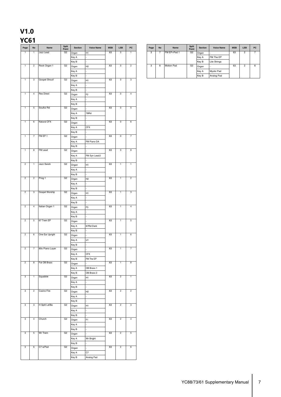### **V1.0 YC61**

|                |                 |                   | Split          |         |                   |     |                         |                          |
|----------------|-----------------|-------------------|----------------|---------|-------------------|-----|-------------------------|--------------------------|
| Page           | $\mathsf{No}$   | Name              | Point          | Section | <b>Voice Name</b> | MSB | LSB                     | $_{\sf PC}$              |
| $\overline{1}$ | $\mathbf{1}$    | Jazz Lead         | G2             | Organ   | H <sub>1</sub>    | 63  | $\overline{0}$          | $\mathbf{1}$             |
|                |                 |                   |                | Key A   |                   |     |                         |                          |
|                |                 |                   |                | Key B   |                   |     |                         |                          |
| $\overline{1}$ | $\overline{c}$  | Rock Organ 1      | G2             | Organ   | H <sub>2</sub>    | 63  | $\overline{\mathbf{0}}$ | $\overline{2}$           |
|                |                 |                   |                | Key A   |                   |     |                         |                          |
|                |                 |                   |                | Key B   |                   |     |                         |                          |
| $\overline{1}$ | 3               | Gospel Shout!     | G2             |         |                   | 63  | $\overline{0}$          | $\overline{3}$           |
|                |                 |                   |                | Organ   | H1                |     |                         |                          |
|                |                 |                   |                | Key A   |                   |     |                         |                          |
|                |                 |                   |                | Key B   |                   |     |                         |                          |
| $\overline{1}$ | $\overline{4}$  | <b>Rex Direct</b> | G2             | Organ   | F <sub>2</sub>    | 63  | $\mathbf 0$             | $\overline{4}$           |
|                |                 |                   |                | Key A   |                   |     |                         |                          |
|                |                 |                   |                | Key B   |                   |     |                         |                          |
| $\overline{1}$ | 5               | Soulful Rd        | G2             |         |                   | 63  | $\mathbf 0$             | $5\phantom{.0}$          |
|                |                 |                   |                | Organ   |                   |     |                         |                          |
|                |                 |                   |                | Key A   | 78Rd              |     |                         |                          |
|                |                 |                   |                | Key B   |                   |     |                         |                          |
| $\overline{1}$ | 6               | Natural CFX       | G2             | Organ   |                   | 63  | $\mathbf 0$             | 6                        |
|                |                 |                   |                | Key A   | <b>CFX</b>        |     |                         |                          |
|                |                 |                   |                | Key B   |                   |     |                         |                          |
| $\overline{1}$ | $\overline{7}$  | FM EP 1           | G2             | Organ   |                   | 63  | $\overline{0}$          | $\overline{7}$           |
|                |                 |                   |                | Key A   | FM Piano DA       |     |                         |                          |
|                |                 |                   |                | Key B   |                   |     |                         |                          |
|                |                 | <b>FM Lead</b>    | G <sub>2</sub> |         |                   | 63  | $\overline{\mathbf{0}}$ | $\overline{\mathbf{8}}$  |
| $\overline{1}$ | 8               |                   |                | Organ   |                   |     |                         |                          |
|                |                 |                   |                | Key A   | FM Syn Lead2      |     |                         |                          |
|                |                 |                   |                | Key B   |                   |     |                         |                          |
| $\overline{c}$ | $\mathbf{1}$    | Jazz Swish        | G <sub>2</sub> | Organ   | H1                | 63  | $\mathbf{1}$            | $\overline{1}$           |
|                |                 |                   |                | Key A   |                   |     |                         |                          |
|                |                 |                   |                | Key B   |                   |     |                         |                          |
| $\overline{2}$ | $\overline{2}$  | Prog 1            | G2             |         | H2                | 63  | $\overline{1}$          | $\overline{2}$           |
|                |                 |                   |                | Organ   |                   |     |                         |                          |
|                |                 |                   |                | Key A   |                   |     |                         |                          |
|                |                 |                   |                | Key B   |                   |     |                         |                          |
| $\overline{2}$ | 3               | Gospel Worship    | G2             | Organ   | H1                | 63  | $\overline{1}$          | $\overline{3}$           |
|                |                 |                   |                | Key A   |                   |     |                         |                          |
|                |                 |                   |                | Key B   |                   |     |                         |                          |
| $\overline{c}$ | $\overline{4}$  | Italian Organ 1   | G2             | Organ   | F <sub>3</sub>    | 63  | $\overline{1}$          | $\overline{4}$           |
|                |                 |                   |                | Key A   |                   |     |                         |                          |
|                |                 |                   |                | Key B   |                   |     |                         |                          |
| $\overline{c}$ | $\overline{5}$  | 67 Trem EP        | G2             |         |                   | 63  | $\overline{1}$          | $\overline{\phantom{a}}$ |
|                |                 |                   |                | Organ   |                   |     |                         |                          |
|                |                 |                   |                | Key A   | 67Rd Dark         |     |                         |                          |
|                |                 |                   |                | Key B   |                   |     |                         |                          |
| $\overline{c}$ | 6               | One Ear Upright   | G2             | Organ   |                   | 63  | $\overline{1}$          | $6\overline{6}$          |
|                |                 |                   |                | Key A   | U1                |     |                         |                          |
|                |                 |                   |                | Key B   |                   |     |                         |                          |
| $\overline{2}$ | $\overline{7}$  | 80s Piano Layer   | G2             | Organ   |                   | 63  | $\mathbf{1}$            | $\overline{7}$           |
|                |                 |                   |                | Key A   | <b>CFX</b>        |     |                         |                          |
|                |                 |                   |                | Key B   | FM The EP         |     |                         |                          |
| $\overline{2}$ | 8               | Fat OB Brass      | G2             |         |                   | 63  | $\mathbf{1}$            | $\overline{8}$           |
|                |                 |                   |                | Organ   |                   |     |                         |                          |
|                |                 |                   |                | Key A   | OB Brass 1        |     |                         |                          |
|                |                 |                   |                | Key B   | OB Brass 2        |     |                         |                          |
| $\mathbf{3}$   | $\mathbf{1}$    | Squabble          | G2             | Organ   | H1                | 63  | $\overline{2}$          | $\overline{1}$           |
|                |                 |                   |                | Key A   |                   |     |                         |                          |
|                |                 |                   |                | Key B   |                   |     |                         |                          |
| 3              | $\overline{2}$  | Casino Fire       | G2             | Organ   | H2                | 63  | $\overline{2}$          | $\overline{2}$           |
|                |                 |                   |                |         |                   |     |                         |                          |
|                |                 |                   |                | Key A   |                   |     |                         |                          |
|                |                 |                   |                | Key B   |                   |     |                         |                          |
| 3              | $\overline{3}$  | H Split Ld/Ba     | G2             | Organ   | H1                | 63  | $\overline{2}$          | $\overline{3}$           |
|                |                 |                   |                | Key A   |                   |     |                         |                          |
|                |                 |                   |                | Key B   |                   |     |                         |                          |
| $\mathbf{3}$   | $\overline{4}$  | Church            | G2             | Organ   | F <sub>1</sub>    | 63  | $\overline{2}$          | $\overline{4}$           |
|                |                 |                   |                | Key A   |                   |     |                         |                          |
|                |                 |                   |                | Key B   |                   |     |                         |                          |
| $\overline{3}$ | $\overline{5}$  | Wr Trem           | G2             |         |                   | 63  | $\overline{2}$          | $5\overline{)}$          |
|                |                 |                   |                | Organ   |                   |     |                         |                          |
|                |                 |                   |                | Key A   | Wr Bright         |     |                         |                          |
|                |                 |                   |                | Key B   |                   |     |                         |                          |
| $\overline{3}$ | $6\overline{6}$ | C7 w/Pad          | G2             | Organ   |                   | 63  | $\overline{2}$          | $6\overline{6}$          |
|                |                 |                   |                | Key A   | C7                |     |                         |                          |
|                |                 |                   |                | Key B   | Analog Pad        |     |                         |                          |
|                |                 |                   |                |         |                   |     |                         |                          |

| <b>Section</b> | <b>Voice Name</b> | <b>MSB</b> | <b>LSB</b> | <b>PC</b> | Page | <b>No</b> | Name              | <b>Split</b><br>Point | <b>Section</b> | <b>Voice Name</b>   | <b>MSB</b> | <b>LSB</b> | <b>PC</b> |
|----------------|-------------------|------------|------------|-----------|------|-----------|-------------------|-----------------------|----------------|---------------------|------------|------------|-----------|
| Organ          | H1                | 63         | O          |           | з    |           | FM EP+Pad 1       | G2                    | Organ          |                     | 63         | 2          |           |
| Key A          |                   |            |            |           |      |           |                   |                       | Key A          | FM The EP           |            |            |           |
| Key B          |                   |            |            |           |      |           |                   |                       | Key B          | <b>Lite Strings</b> |            |            |           |
| Organ          | H <sub>2</sub>    | 63         | u          | c         | з    | 8         | <b>Motion Pad</b> | G2                    | Organ          |                     | 63         | 2          | 8         |
| Key A          |                   |            |            |           |      |           |                   |                       | Key A          | Mystic Pad          |            |            |           |
| Key B          |                   |            |            |           |      |           |                   |                       | Key B          | Analog Pad          |            |            |           |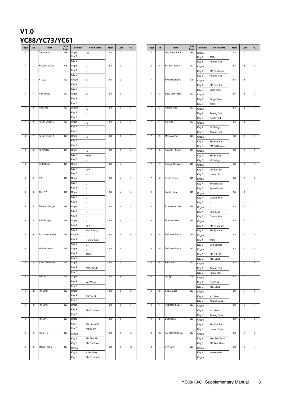### **V1.0 YC88/YC73/YC61**

| Page            | <b>No</b>      | Name                   | <b>Split</b><br>Point | Section | <b>Voice Name</b>   | <b>MSB</b> | <b>LSB</b>     | PC              |
|-----------------|----------------|------------------------|-----------------------|---------|---------------------|------------|----------------|-----------------|
| 4               | -1             | Clean Amp              | G <sub>2</sub>        | Organ   | H <sub>3</sub>      | 63         | 3              | $\mathbf{1}$    |
|                 |                |                        |                       | Key A   |                     |            |                |                 |
|                 |                |                        |                       | Key B   |                     |            |                |                 |
| $\overline{4}$  | $\overline{2}$ | H Split Ld/Chd         | C <sub>3</sub>        | Organ   | H1                  | 63         | 3              | $\overline{c}$  |
|                 |                |                        |                       | Key A   |                     |            |                |                 |
|                 |                |                        |                       |         |                     |            |                |                 |
|                 |                |                        |                       | Key B   |                     |            |                |                 |
| 4               | 3              | F1 Jazz                | G2                    | Organ   | F <sub>1</sub>      | 63         | 3              | 3               |
|                 |                |                        |                       | Key A   |                     |            |                |                 |
|                 |                |                        |                       | Key B   |                     |            |                |                 |
| $\overline{4}$  | 4              | <b>Rex Rotary</b>      | G <sub>2</sub>        | Organ   | F <sub>2</sub>      | 63         | 3              | $\overline{4}$  |
|                 |                |                        |                       | Key A   |                     |            |                |                 |
|                 |                |                        |                       |         |                     |            |                |                 |
|                 |                |                        |                       | Key B   |                     |            |                |                 |
| $\overline{4}$  | 5              | Rex Amp                | G <sub>2</sub>        | Organ   | F <sub>2</sub>      | 63         | 3              | 5               |
|                 |                |                        |                       | Key A   |                     |            |                |                 |
|                 |                |                        |                       | Key B   |                     |            |                |                 |
| $\overline{4}$  | 6              | Italian Organ 2        | G <sub>2</sub>        | Organ   | F <sub>3</sub>      | 63         | 3              | $\,6\,$         |
|                 |                |                        |                       | Key A   |                     |            |                |                 |
|                 |                |                        |                       | Key B   |                     |            |                |                 |
|                 |                |                        |                       |         |                     |            |                |                 |
| $\overline{4}$  | $\overline{7}$ | Italian Organ 3        | G2                    | Organ   | F <sub>3</sub>      | 63         | 3              | $\overline{7}$  |
|                 |                |                        |                       | Key A   |                     |            |                |                 |
|                 |                |                        |                       | Key B   |                     |            |                |                 |
| $\overline{4}$  | 8              | F <sub>2</sub> / RdBa  | G2                    | Organ   | F <sub>2</sub>      | 63         | $\mathbf{3}$   | 8               |
|                 |                |                        |                       | Key A   | 78Rd                |            |                |                 |
|                 |                |                        |                       | Key B   |                     |            |                |                 |
|                 |                |                        |                       |         |                     |            |                |                 |
| 5               | $\overline{1}$ | <b>CFX Bright</b>      | G2                    | Organ   |                     | 63         | $\overline{4}$ | $\mathbf{1}$    |
|                 |                |                        |                       | Key A   | <b>CFX</b>          |            |                |                 |
|                 |                |                        |                       | Key B   |                     |            |                |                 |
| $\overline{5}$  | $\overline{c}$ | C7                     | G2                    | Organ   |                     | 63         | $\overline{4}$ | $\overline{c}$  |
|                 |                |                        |                       | Key A   | C7                  |            |                |                 |
|                 |                |                        |                       | Key B   |                     |            |                |                 |
| $\overline{5}$  | $\mathbf{3}$   | 70's C7                | G2                    |         |                     | 63         | $\overline{4}$ | 3               |
|                 |                |                        |                       | Organ   |                     |            |                |                 |
|                 |                |                        |                       | Key A   | C7                  |            |                |                 |
|                 |                |                        |                       | Key B   |                     |            |                |                 |
| $\overline{5}$  | $\overline{4}$ | Showbiz Upright        | G2                    | Organ   |                     | 63         | $\overline{4}$ | $\overline{4}$  |
|                 |                |                        |                       | Key A   | U1                  |            |                |                 |
|                 |                |                        |                       | Key B   |                     |            |                |                 |
| $\overline{5}$  | $\overline{5}$ | AP+Strings             | G2                    | Organ   |                     | 63         | $\overline{4}$ | $\,$ 5 $\,$     |
|                 |                |                        |                       |         |                     |            |                |                 |
|                 |                |                        |                       | Key A   | <b>CFX</b>          |            |                |                 |
|                 |                |                        |                       | Key B   | <b>Fast Strings</b> |            |                |                 |
| $\overline{5}$  | 6              | <b>Bass Stays Home</b> | G2                    | Organ   |                     | 63         | $\overline{4}$ | 6               |
|                 |                |                        |                       | Key A   | <b>Upright Bass</b> |            |                |                 |
|                 |                |                        |                       | Key B   | C7                  |            |                |                 |
| $\overline{5}$  | $\overline{7}$ | 78Rd Chorus            | G <sub>2</sub>        | Organ   |                     | 63         | $\overline{4}$ | $\overline{7}$  |
|                 |                |                        |                       | Key A   |                     |            |                |                 |
|                 |                |                        |                       | Key B   | 78Rd                |            |                |                 |
|                 |                |                        |                       |         |                     |            |                |                 |
| $\overline{5}$  | 8              | 67Rd Overdrive         | G2                    | Organ   |                     | 63         | $\overline{4}$ | 8               |
|                 |                |                        |                       | Key A   | 67Rd Bright         |            |                |                 |
|                 |                |                        |                       | Key B   |                     |            |                |                 |
| $\,6\,$         | $\overline{1}$ | <b>Wr Dist</b>         | G <sub>2</sub>        | Organ   |                     | 63         | $\,$ 5 $\,$    | $\mathbf{1}$    |
|                 |                |                        |                       | Key A   | Wr Warm             |            |                |                 |
|                 |                |                        |                       | Key B   |                     |            |                |                 |
|                 |                |                        |                       |         |                     |            |                |                 |
| $\,6\,$         | $\overline{c}$ | FM EP 2                | G <sub>2</sub>        | Organ   |                     | 63         | $\overline{5}$ | $\overline{c}$  |
|                 |                |                        |                       | Key A   | FM The EP           |            |                |                 |
|                 |                |                        |                       | Key B   |                     |            |                |                 |
| $\,6\,$         | 3              | FM EP 3                | G <sub>2</sub>        | Organ   |                     | 63         | $\overline{5}$ | $\mathbf{3}$    |
|                 |                |                        |                       | Key A   | FM Pf's Heart       |            |                |                 |
|                 |                |                        |                       | Key B   |                     |            |                |                 |
|                 |                |                        |                       |         |                     |            |                |                 |
| $\,6\,$         | $\overline{4}$ | FM EP 4                | G <sub>2</sub>        | Organ   |                     | 63         | $\overline{5}$ | $\overline{4}$  |
|                 |                |                        |                       | Key A   | FM Urban EP         |            |                |                 |
|                 |                |                        |                       | Key B   | FM DX EP            |            |                |                 |
| $6\overline{6}$ | $\overline{5}$ | FM EP 5                | G2                    | Organ   |                     | 63         | 5              | $\overline{5}$  |
|                 |                |                        |                       | Key A   | FM The EP           |            |                |                 |
|                 |                |                        |                       |         |                     |            |                |                 |
|                 |                |                        |                       | Key B   | FM DX Road          |            |                |                 |
| 6               | 6              | Magic Piano            | G2                    | Organ   |                     | 63         | 5              | $6\overline{6}$ |
|                 |                |                        |                       | Key A   | 67Rd Dark           |            |                |                 |
|                 |                |                        |                       | Key B   | FM Pf's Heart       |            |                |                 |
|                 |                |                        |                       |         |                     |            |                |                 |

| <b>Section</b> | <b>Voice Name</b>   | <b>MSB</b> | <b>LSB</b>     | PC               | Page              | No             | Name                   | <b>Split</b><br>Point | <b>Section</b> | <b>Voice Name</b>  | <b>MSB</b> | <b>LSB</b>        | PC                      |
|----------------|---------------------|------------|----------------|------------------|-------------------|----------------|------------------------|-----------------------|----------------|--------------------|------------|-------------------|-------------------------|
| Organ          | H3                  | 63         | 3              | $\mathbf{1}$     | 6                 | 7              | 80s Soundtrack         | G <sub>2</sub>        | Organ          |                    | 63         | 5                 | 7                       |
| Key A          |                     |            |                |                  |                   |                |                        |                       | Key A          | 78Rd               |            |                   |                         |
| Key B          |                     |            |                |                  |                   |                |                        |                       | Key B          | Analog Pad         |            |                   |                         |
| Organ          | H1                  | 63         | 3              | $\overline{c}$   | 6                 | 8              | FM EP+Pad 2            | G <sub>2</sub>        | Organ          |                    | 63         | 5                 | 8                       |
| Key A          |                     |            |                |                  |                   |                |                        |                       | Key A          | FM Pf's Heart      |            |                   |                         |
| Key B          |                     |            |                |                  |                   |                |                        |                       | Key B          |                    |            |                   |                         |
| Organ          |                     | 63         | 3              | 3                | 7                 | $\mathbf{1}$   | Swell Backgrnd         | C <sub>3</sub>        |                | Analog Pad         | 63         | 6                 | 1                       |
|                | F <sub>1</sub>      |            |                |                  |                   |                |                        |                       | Organ          |                    |            |                   |                         |
| Key A          |                     |            |                |                  |                   |                |                        |                       | Key A          | FM Saw Pad         |            |                   |                         |
| Key B          |                     |            |                |                  |                   |                |                        |                       | Key B          | 67Rd Dark          |            |                   |                         |
| Organ          | F <sub>2</sub>      | 63         | 3              | 4                | 7                 | $\overline{c}$ | Bass and 73Rd          | G <sub>2</sub>        | Organ          |                    | 63         | 6                 | $\overline{\mathbf{c}}$ |
| Key A          |                     |            |                |                  |                   |                |                        |                       | Key A          | <b>Finger Bass</b> |            |                   |                         |
| Key B          |                     |            |                |                  |                   |                |                        |                       | Key B          | 73Rd               |            |                   |                         |
| Organ          | F <sub>2</sub>      | 63         | 3              | $\sqrt{5}$       | 7                 | $\mathbf{3}$   | Analog Pad             | G <sub>2</sub>        | Organ          |                    | 63         | 6                 | 3                       |
| Key A          |                     |            |                |                  |                   |                |                        |                       | Key A          | Analog Pad         |            |                   |                         |
| Key B          |                     |            |                |                  |                   |                |                        |                       | Key B          | Noble Pad          |            |                   |                         |
| Organ          |                     | 63         | 3              | 6                | 7                 | 4              | Fat Pad                | G <sub>2</sub>        |                |                    | 63         | 6                 | 4                       |
| Key A          | F3                  |            |                |                  |                   |                |                        |                       | Organ          |                    |            |                   |                         |
|                |                     |            |                |                  |                   |                |                        |                       | Key A          | JP Strings         |            |                   |                         |
| Key B          |                     |            |                |                  |                   |                |                        |                       | Key B          | Analog Pad         |            |                   |                         |
| Organ          | F3                  | 63         | 3              | $\boldsymbol{7}$ | 7                 | 5              | Massive FM             | G <sub>2</sub>        | Organ          |                    | 63         | 6                 | 5                       |
| Key A          |                     |            |                |                  |                   |                |                        |                       | Key A          | FM Saw Pad         |            |                   |                         |
| Key B          |                     |            |                |                  |                   |                |                        |                       | Key B          | FM BellSquare      |            |                   |                         |
| Organ          | F <sub>2</sub>      | 63         | 3              | 8                | 7                 | 6              | Smooth Strings         | G <sub>2</sub>        | Organ          |                    | 63         | 6                 | 6                       |
| Key A          | 78Rd                |            |                |                  |                   |                |                        |                       | Key A          | FM Syn Str         |            |                   |                         |
| Key B          |                     |            |                |                  |                   |                |                        |                       | Key B          | JP Strings         |            |                   |                         |
| Organ          |                     | 63         | 4              | 1                | 7                 | 7              | <b>Stringy Octaves</b> | G <sub>2</sub>        | Organ          |                    | 63         | 6                 | 7                       |
| Key A          |                     |            |                |                  |                   |                |                        |                       |                |                    |            |                   |                         |
|                | <b>CFX</b>          |            |                |                  |                   |                |                        |                       | Key A          | Oct Syn Str        |            |                   |                         |
| Key B          |                     |            |                |                  |                   |                |                        |                       | Key B          | Unison Str         |            |                   |                         |
| Organ          |                     | 63         | $\overline{4}$ | $\sqrt{2}$       | $\scriptstyle{7}$ | 8              | Synth Brass            | G <sub>2</sub>        | Organ          |                    | 63         | 6                 | 8                       |
| Key A          | C7                  |            |                |                  |                   |                |                        |                       | Key A          | Synth Brass1       |            |                   |                         |
| Key B          |                     |            |                |                  |                   |                |                        |                       | Key B          | Synth Brass 4      |            |                   |                         |
| Organ          |                     | 63         | $\overline{4}$ | 3                | 8                 | 1              | Analog Lead            | G <sub>2</sub>        | Organ          |                    | 63         | $\scriptstyle{7}$ | $\mathbf{1}$            |
| Key A          | C7                  |            |                |                  |                   |                |                        |                       | Key A          | Classic Mini       |            |                   |                         |
| Key B          |                     |            |                |                  |                   |                |                        |                       | Key B          |                    |            |                   |                         |
| Organ          |                     | 63         | $\overline{4}$ | $\overline{4}$   | 8                 | $\overline{2}$ | <b>Expressive Lead</b> | G <sub>2</sub>        | Organ          |                    | 63         | $\overline{7}$    | $\overline{c}$          |
| Key A          |                     |            |                |                  |                   |                |                        |                       |                |                    |            |                   |                         |
|                | U1                  |            |                |                  |                   |                |                        |                       | Key A          | Sine Lead          |            |                   |                         |
| Key B          |                     |            |                |                  |                   |                |                        |                       | Key B          | Classic Mini       |            |                   |                         |
| Organ          |                     | 63         | $\overline{4}$ | 5                | 8                 | 3              | Monster Lead           | G <sub>2</sub>        | Organ          |                    | 63         | $\overline{7}$    | 3                       |
| Key A          | <b>CFX</b>          |            |                |                  |                   |                |                        |                       | Key A          | FM SynLead1        |            |                   |                         |
| Key B          | <b>Fast Strings</b> |            |                |                  |                   |                |                        |                       | Key B          | FM SynLead2        |            |                   |                         |
| Organ          |                     | 63         | $\overline{4}$ | 6                | 8                 | 4              | Ep/Lead Split 1        | G <sub>2</sub>        | Organ          |                    | 63         | $\overline{7}$    | $\overline{4}$          |
| Key A          | Upright Bass        |            |                |                  |                   |                |                        |                       | Key A          | 73Rd               |            |                   |                         |
| Key B          | C7                  |            |                |                  |                   |                |                        |                       | Key B          | Soft Square        |            |                   |                         |
| Organ          |                     | 63         | $\overline{4}$ | 7                | 8                 | 5              | Ep/Lead Split 2        | G <sub>2</sub>        | Organ          |                    | 63         | 7                 | 5                       |
| Key A          | 78Rd                |            |                |                  |                   |                |                        |                       | Key A          | FM DX EP           |            |                   |                         |
| Key B          |                     |            |                |                  |                   |                |                        |                       |                |                    |            |                   |                         |
| Organ          |                     | 63         | $\overline{4}$ | 8                | 8                 | 6              | Pad/Lead               | G <sub>2</sub>        | Key B          | Mini Lead          | 63         | 7                 | 6                       |
|                |                     |            |                |                  |                   |                |                        |                       | Organ          |                    |            |                   |                         |
| Key A          | 67Rd Bright         |            |                |                  |                   |                |                        |                       | Key A          | Analog Pad         |            |                   |                         |
| Key B          |                     |            |                |                  |                   |                |                        |                       | Key B          | Funky Mini         |            |                   |                         |
| Organ          |                     | 63         | 5              | $\mathbf{1}$     | 8                 | 7              | Icy Split              | C <sub>3</sub>        | Organ          |                    | 63         | 7                 | 7                       |
| Key A          | Wr Warm             |            |                |                  |                   |                |                        |                       | Key A          | Digi Pad           |            |                   |                         |
| Key B          |                     |            |                |                  |                   |                |                        |                       | Key B          | Mini Lead          |            |                   |                         |
| Organ          |                     | 63         | 5              | $\overline{2}$   | 8                 | 8              | <b>Sticky Bass</b>     | G <sub>2</sub>        | Organ          |                    | 63         | 7                 | 8                       |
| Key A          | FM The EP           |            |                |                  |                   |                |                        |                       | Key A          | 1o1 Bass           |            |                   |                         |
| Key B          |                     |            |                |                  |                   |                |                        |                       | Key B          | Analog Bass        |            |                   |                         |
| Organ          |                     | 63         | 5              | 3                | 9                 | $\mathbf{1}$   | Aggressive Bass        | G <sub>2</sub>        |                |                    | 63         | 8                 | $\mathbf{1}$            |
|                |                     |            |                |                  |                   |                |                        |                       | Organ          |                    |            |                   |                         |
| Key A          | FM Pf's Heart       |            |                |                  |                   |                |                        |                       | Key A          | 1o1 Bass           |            |                   |                         |
| Key B          |                     |            |                |                  |                   |                |                        |                       | Key B          | Analog Bass        |            |                   |                         |
| Organ          |                     | 63         | 5              | 4                | 9                 | $\overline{c}$ | Dual Bass              | G <sub>2</sub>        | Organ          |                    | 63         | 8                 | $\overline{c}$          |
| Key A          | FM Urban EP         |            |                |                  |                   |                |                        |                       | Key A          | FM Saw Pad         |            |                   |                         |
| Key B          | FM DX EP            |            |                |                  |                   |                |                        |                       | Key B          | <b>Unison Bass</b> |            |                   |                         |
| Organ          |                     | 63         | $\,$ 5 $\,$    | 5                | 9                 | 3              | FM Harmonic Ba         | G <sub>2</sub>        | Organ          |                    | 63         | 8                 | 3                       |
| Key A          | FM The EP           |            |                |                  |                   |                |                        |                       | Key A          | Mini Sub Bass      |            |                   |                         |
| Key B          | FM DX Road          |            |                |                  |                   |                |                        |                       | Key B          | FM Tear Bass       |            |                   |                         |
|                |                     | 63         | $\,$ 5 $\,$    | 6                | 9                 | $\overline{4}$ | Syn Bell 1             | G <sub>2</sub>        |                |                    | 63         | 8                 | $\overline{4}$          |
| Organ          |                     |            |                |                  |                   |                |                        |                       | Organ          |                    |            |                   |                         |
| Key A          | 67Rd Dark           |            |                |                  |                   |                |                        |                       | Key A          | Heaven Bell        |            |                   |                         |
| Key B          | FM Pf's Heart       |            |                |                  |                   |                |                        |                       | Organ          |                    |            |                   |                         |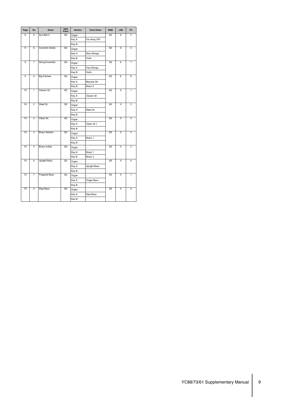| Page | <b>No</b>               | <b>Name</b>            | <b>Split</b><br>Point | <b>Section</b><br><b>Voice Name</b> |                     | <b>MSB</b> | LSB | PC             |
|------|-------------------------|------------------------|-----------------------|-------------------------------------|---------------------|------------|-----|----------------|
| 9    | 5                       | Syn Bell 2             | G <sub>2</sub>        | Organ                               |                     | 63         | 8   | 5              |
|      |                         |                        |                       | Key A                               | Far Away FM         |            |     |                |
|      |                         |                        |                       | Key B                               |                     |            |     |                |
| 9    | 6                       | Concerto Goldo         | G <sub>2</sub>        | Organ                               |                     | 63         | 8   | 6              |
|      |                         |                        |                       | Key A                               | <b>Slow Strings</b> |            |     |                |
|      |                         |                        |                       | Key B                               | Violin              |            |     |                |
| 9    | $\overline{7}$          | <b>String Ensemble</b> | G <sub>2</sub>        | Organ                               |                     | 63         | 8   | 7              |
|      |                         |                        |                       | Key A                               | <b>Fast Strings</b> |            |     |                |
|      |                         |                        |                       | Key B                               | Violin              |            |     |                |
| 9    | $\overline{\mathbf{a}}$ | <b>Big Fanfare</b>     | G <sub>2</sub>        | Organ                               |                     | 63         | 8   | 8              |
|      |                         |                        |                       | Key A                               | Marcato Str         |            |     |                |
|      |                         |                        |                       | Key B                               | Brass 3             |            |     |                |
| 10   | $\overline{1}$          | Classic Gt.            | G <sub>2</sub>        | Organ                               |                     | 63         | 9   | 1              |
|      |                         |                        |                       | Key A                               | Classic Gt          |            |     |                |
|      |                         |                        |                       | Key B                               | J                   |            |     |                |
| 10   | $\overline{2}$          | Steel Gt.              | G <sub>2</sub>        | Organ                               | $\overline{a}$      | 63         | 9   | $\overline{2}$ |
|      |                         |                        |                       | Key A                               | Steel Gt            |            |     |                |
|      |                         |                        |                       | Key B                               |                     |            |     |                |
| 10   | $\overline{\mathbf{3}}$ | Clean Gt.              | G <sub>2</sub>        | Organ                               |                     | 63         | 9   | 3              |
|      |                         |                        |                       | Key A                               | Clean Gt 1          |            |     |                |
|      |                         |                        |                       | Key B                               |                     |            |     |                |
| 10   | $\overline{4}$          | <b>Brass Section</b>   | G <sub>2</sub>        | Organ                               |                     | 63         | 9   | $\overline{4}$ |
|      |                         |                        |                       | Key A                               | Brass 1             |            |     |                |
|      |                         |                        |                       | Key B                               |                     |            |     |                |
| 10   | 5                       | Brass w/Sax            | G <sub>2</sub>        | Organ                               |                     | 63         | 9   | 5              |
|      |                         |                        |                       | Key A                               | Brass 1             |            |     |                |
|      |                         |                        |                       | Key B                               | Brass 2             |            |     |                |
| 10   | 6                       | <b>Upright Bass</b>    | G <sub>2</sub>        | Organ                               |                     | 63         | 9   | 6              |
|      |                         |                        |                       | Key A                               | <b>Upright Bass</b> |            |     |                |
|      |                         |                        |                       | Key B                               | ÷,                  |            |     |                |
| 10   | 7                       | <b>Fingered Bass</b>   | G <sub>2</sub>        | Organ                               |                     | 63         | 9   | 7              |
|      |                         |                        |                       | Key A                               | <b>Finger Bass</b>  |            |     |                |
|      |                         |                        |                       | Key B                               | L.                  |            |     |                |
| 10   | 8                       | Slap Bass              | G <sub>2</sub>        | Organ                               | $\overline{a}$      | 63         | 9   | 8              |
|      |                         |                        |                       | Key A                               | Slap Bass           |            |     |                |
|      |                         |                        |                       | Key B                               | L,                  |            |     |                |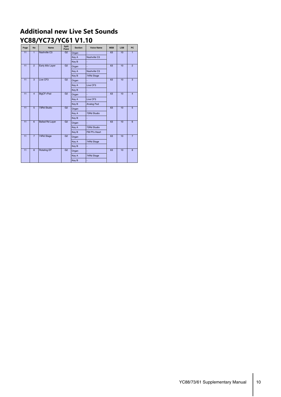### **Additional new Live Set Sounds YC88/YC73/YC61 V1.10**

| Page            | <b>No</b>                                               | <b>Name</b>            | Split<br>Point | <b>Section</b> | <b>Voice Name</b> | <b>MSB</b> | <b>LSB</b> | <b>PC</b>      |
|-----------------|---------------------------------------------------------|------------------------|----------------|----------------|-------------------|------------|------------|----------------|
| 11              | $\overline{1}$                                          | Nashville C3           | G2             | Organ          |                   | 63         | 10         | $\mathbf{1}$   |
|                 |                                                         |                        |                | Key A          | Nashville C3      |            |            |                |
|                 |                                                         |                        |                | Key B          |                   |            |            |                |
| $\overline{11}$ | $\overline{2}$                                          | Early 80s Layer        | G2             | Organ          |                   | 63         | 10         | $\overline{2}$ |
|                 |                                                         |                        |                | Key A          | Nashville C3      |            |            |                |
|                 |                                                         |                        |                | Key B          | 74Rd Stage        |            |            |                |
| 11              | $\overline{3}$                                          | Live CF3               | G <sub>2</sub> | Organ          |                   | 63         | 10         | $\overline{3}$ |
|                 |                                                         |                        |                | Key A          | Live CF3          |            |            |                |
|                 |                                                         |                        |                | Key B          |                   |            |            |                |
| $\overline{11}$ | $\overline{4}$                                          | BigCF+Pad              | G2             | Organ          |                   | 63         | 10         | $\overline{4}$ |
|                 |                                                         |                        |                | Key A          | Live CF3          |            |            |                |
|                 |                                                         |                        | G <sub>2</sub> | Key B          | Analog Pad        |            |            |                |
| $\overline{11}$ | $\overline{5}$                                          | 73Rd Studio            |                | Organ          |                   | 63         | 10         | $\overline{5}$ |
|                 |                                                         |                        |                | Key A          | 73Rd Studio       |            |            |                |
|                 |                                                         |                        |                | Key B          |                   |            |            |                |
| $\overline{11}$ | $\overline{6}$                                          | <b>Ballad Rd Layer</b> | G2             | Organ          |                   | 63         | 10         | 6              |
|                 |                                                         |                        |                | Key A          | 73Rd Studio       |            |            |                |
|                 |                                                         |                        |                | Key B          | FM Pf's Heart     |            |            |                |
| $\overline{11}$ | $\overline{7}$                                          | 74Rd Stage             | G <sub>2</sub> | Organ          |                   | 63         | 10         | $\overline{7}$ |
|                 |                                                         |                        |                | Key A          | 74Rd Stage        |            |            |                |
|                 | $\overline{11}$<br>$\overline{8}$<br><b>Rotating EP</b> |                        |                | Key B          |                   |            |            |                |
|                 |                                                         |                        | G <sub>2</sub> | Organ          |                   | 63         | 10         | $\overline{8}$ |
|                 |                                                         |                        |                | Key A          | 74Rd Stage        |            |            |                |
|                 |                                                         |                        |                | Key B          |                   |            |            |                |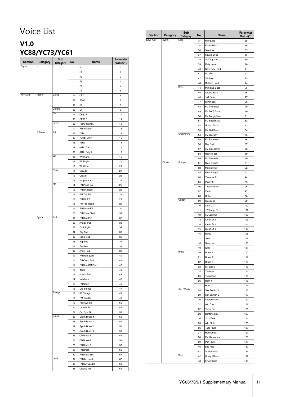# Voice List

## **V1.0 YC88/YC73/YC61**

| <b>Section</b> | Category | Sub          | No.                      | Name           | Parameter     |
|----------------|----------|--------------|--------------------------|----------------|---------------|
| Organ          |          | Category     | $\overline{a}$           | H1             | Value(*)<br>0 |
|                |          |              | $\overline{\phantom{a}}$ | H <sub>2</sub> | 1             |
|                |          |              | $\overline{\phantom{a}}$ | H <sub>3</sub> | 2             |
|                |          |              | $\overline{\phantom{a}}$ | F <sub>1</sub> | 3             |
|                |          |              | $\overline{\phantom{a}}$ | F <sub>2</sub> | 4             |
|                |          |              | $\overline{a}$           | F3             | 5             |
| Keys A/B       | Piano    | Grand        | 01                       | <b>CFX</b>     | 6             |
|                |          |              | 02                       | S700           | 7             |
|                |          |              | 03                       | C7             | 8             |
|                |          | Upright      | 06                       | U1             | 9             |
|                |          | СP           | 07                       | CP801          | 10            |
|                |          |              | 08                       | CP802          | 11            |
|                |          | Layer        | 09                       | Piano Strings  | 12            |
|                |          |              | 10                       | Piano Synth    | 13            |
|                | E.Piano  | Rd           | 01                       | 78Rd           | 14            |
|                |          |              | 02                       | 75Rd Funky     | 15            |
|                |          |              | 03                       | 73Rd           | 16            |
|                |          |              | 04                       | 67Rd Dark      | 17            |
|                |          |              | 05                       | 67Rd Bright    | 18            |
|                |          | Wr           | 08                       | Wr Warm        | 19            |
|                |          |              | 09                       | Wr Bright      | 20            |
|                |          |              | 10                       | Wr Wide        | 21            |
|                |          | Clavi        | 11                       | Clavi B        | 22            |
|                |          |              | 12                       | Clavi S        | 23            |
|                |          |              | 13                       | Harpsichord    | 24            |
|                |          | <b>FM</b>    | 14                       | FM Piano DA    | 25            |
|                |          |              | 15                       | FM DX Road     | 26            |
|                |          |              | 16                       | FM The EP      | 27            |
|                |          |              | 17                       | FM DX EP       | 28            |
|                |          |              | 18                       | FM Pf's Heart  | 29            |
|                |          |              | 19                       | FM Urban EP    | 30            |
|                |          |              | 20                       | FM PowerClavi  | 31            |
|                | Synth    | Pad          | 01                       | FM Saw Pad     | 32            |
|                |          |              | 02                       | Analog Pad     | 33            |
|                |          |              | 03                       | Dark Light     | 34            |
|                |          |              | 04                       | Digi Pad       | 35            |
|                |          |              | 05                       | Noble Pad      | 36            |
|                |          |              | 06                       | Pop Pad        | 37            |
|                |          |              | 07                       | Fat Saw        | 38            |
|                |          |              | 08                       | Angel Pad      | 39            |
|                |          |              | 09                       | FM BellSquare  | 40            |
|                |          |              | 10                       | FM Cloud Pad   | 41            |
|                |          |              | 11                       | FM Bow RM Pad  | 42            |
|                |          |              | 12                       | Itopia         | 43            |
|                |          |              | 13                       | Mystic Pad     | 44            |
|                |          |              | 14                       | Nowhere        | 45            |
|                |          |              | 15                       | FM Choir       | 46            |
|                |          |              | 16                       | Lite Strings   | 47            |
|                |          | Strings      | 17                       | JP Strings     | 48            |
|                |          |              | 18                       | FM Syn Str     | 49            |
|                |          |              | 19                       | Pop Syn Str    | 50            |
|                |          |              | 20                       | Unison Str     | 51            |
|                |          |              | 21                       | Oct Syn Str    | 52            |
|                |          | <b>Brass</b> | 22                       | Synth Brass 1  | 53            |
|                |          |              | 23                       | Synth Brass 2  | 54            |
|                |          |              | 24                       | Synth Brass 3  | 55            |
|                |          |              | 25                       | Synth Brass 4  | 56            |
|                |          |              | 26                       | OB Brass 1     | 57            |
|                |          |              | 27                       | OB Brass 2     | 58            |
|                |          |              | 28                       | OB Brass 3     | 59            |
|                |          |              | 29                       | FM Brass       | 60            |
|                |          |              | 30                       | FM Brass Ens   | 61            |
|                |          | Lead         | 31                       | FM Syn Lead 1  | 62            |
|                |          |              | 32                       | FM Syn Lead 2  | 63            |
|                |          |              | 33                       | Classic Mini   | 64            |

| <b>Section</b> | Category | Sub<br>Category | No.      | Name                             | Parameter<br>Value(*) |
|----------------|----------|-----------------|----------|----------------------------------|-----------------------|
| Keys A/B       | Synth    | Lead            | 34       | Mini Lead                        | 65                    |
|                |          |                 | 35       | Funky Mini                       | 66                    |
|                |          |                 | 36       | Sine Lead                        | 67                    |
|                |          |                 | 37       | Square Lead                      | 68                    |
|                |          |                 | 38       | Soft Square                      | 69                    |
|                |          |                 | 39       | Dirty Hook                       | 70                    |
|                |          |                 | 40       | Sync Saw Lead                    | 71                    |
|                |          |                 | 41       | Nu Mini                          | 72                    |
|                |          |                 | 42       | 5th Lead                         | 73                    |
|                |          | Bass            | 43       | Calliope Lead                    | 74                    |
|                |          |                 | 44       | Mini Sub Bass                    | 75                    |
|                |          |                 | 45<br>46 | Analog Bass<br>1o1 Bass          | 76<br>77              |
|                |          |                 | 47       | Synth Bass                       | 78                    |
|                |          |                 | 48       | FM Tear Bass                     | 79                    |
|                |          |                 | 49       | FM DX E.Bass                     | 80                    |
|                |          |                 | 50       | FM BoogieBass                    | 81                    |
|                |          |                 | 51       | FM SuperBass                     | 82                    |
|                |          |                 | 52       | <b>Unison Bass</b>               | 83                    |
|                |          |                 | 53       | FM Owl Bass                      | 84                    |
|                |          | ChromPerc       | 54       | FM Glocken                       | 85                    |
|                |          |                 | 55       | FM Far Away                      | 86                    |
|                |          |                 | 56       | Digi Bell                        | 87                    |
|                |          |                 | 57       | FM Brite Comp                    | 88                    |
|                |          |                 | 58       | Heaven Bell                      | 89                    |
|                |          |                 | 59       | FM Tblr Bells                    | 90                    |
|                | Others   | Strings         | 01       | <b>Slow Strings</b>              | 91                    |
|                |          |                 | 02       | Marcato Str                      | 92                    |
|                |          |                 | 03       | <b>Fast Strings</b>              | 93                    |
|                |          |                 | 04<br>05 | Tremolo Str                      | 94                    |
|                |          |                 | 06       | Pizzicato<br><b>Tape Strings</b> | 95<br>96              |
|                |          |                 | 07       | Violin                           | 97                    |
|                |          |                 | 08       | Cello                            | 98                    |
|                |          | Guitar          | 09       | Classic Gt                       | 99                    |
|                |          |                 | 10       | Steel Gt                         | 100                   |
|                |          |                 | 11       | 12Strings Gt                     | 101                   |
|                |          |                 | 12       | FM Jazz Gt                       | 102                   |
|                |          |                 | 13       | Clean Gt 1                       | 103                   |
|                |          |                 | 14       | Clean Gt 2                       | 104                   |
|                |          |                 | 15       | Clean Gt 3                       | 105                   |
|                |          |                 | 16       | Banjo                            | 106                   |
|                |          |                 | 17       | Sitar                            | 107                   |
|                |          |                 | 18       | Shamisen                         | 108                   |
|                |          | <b>Brass</b>    | 19       | Koto                             | 109                   |
|                |          |                 | 20       | Brass 1                          | 110                   |
|                |          |                 | 21<br>22 | Brass 2<br>Brass 3               | 111<br>112            |
|                |          |                 | 23       | Sf. Brass                        | 113                   |
|                |          |                 | 24       | Trumpet                          | 114                   |
|                |          |                 | 25       | Trombone                         | 115                   |
|                |          |                 | 26       | Horn 1                           | 116                   |
|                |          |                 | 27       | Horn 2                           | 117                   |
|                |          | Sax/Winds       | 28       | Sax Section 1                    | 118                   |
|                |          |                 | 29       | Sax Section 2                    | 119                   |
|                |          |                 | 30       | Soprano Sax                      | 120                   |
|                |          |                 | 31       | Alto Sax                         | 121                   |
|                |          |                 | 32       | <b>Tenor Sax</b>                 | 122                   |
|                |          |                 | 33       | <b>Baritone Sax</b>              | 123                   |
|                |          |                 | 34       | Jazz Flute                       | 124                   |
|                |          |                 | 35       | Alto Flute                       | 125                   |
|                |          |                 | 36       | Tape Flute                       | 126                   |
|                |          |                 | 37       | Harmonica                        | 127                   |
|                |          |                 | 38       | FM Harmonica                     | 128                   |
|                |          |                 | 39       | Pan Flute                        | 129                   |
|                |          |                 | 40<br>41 | Bag Pipe<br>Shakuhachi           | 130<br>131            |
|                |          | Bass            | 42       | Upright Bass                     | 132                   |
|                |          |                 | 43       | <b>Finger Bass</b>               | 133                   |